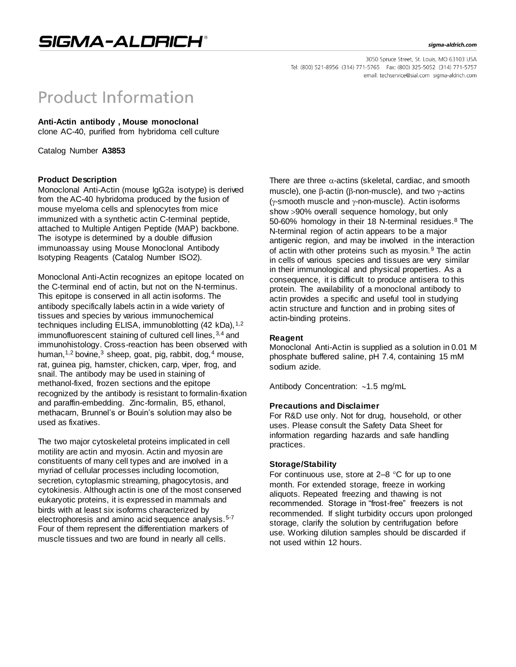#### sigma-aldrich.com

3050 Spruce Street, St. Louis, MO 63103 USA Tel: (800) 521-8956 (314) 771-5765 Fax: (800) 325-5052 (314) 771-5757 email: techservice@sial.com sigma-aldrich.com

# **Product Information**

# **Anti-Actin antibody , Mouse monoclonal**

clone AC-40, purified from hybridoma cell culture

Catalog Number **A3853**

# **Product Description**

Monoclonal Anti-Actin (mouse IgG2a isotype) is derived from the AC-40 hybridoma produced by the fusion of mouse myeloma cells and splenocytes from mice immunized with a synthetic actin C-terminal peptide, attached to Multiple Antigen Peptide (MAP) backbone. The isotype is determined by a double diffusion immunoassay using Mouse Monoclonal Antibody Isotyping Reagents (Catalog Number ISO2).

Monoclonal Anti-Actin recognizes an epitope located on the C-terminal end of actin, but not on the N-terminus. This epitope is conserved in all actin isoforms. The antibody specifically labels actin in a wide variety of tissues and species by various immunochemical techniques including ELISA, immunoblotting  $(42 kDa)$ ,  $1,2$ immunofluorescent staining of cultured cell lines,  $3,4$  and immunohistology. Cross-reaction has been observed with human,<sup>1,2</sup> bovine,<sup>3</sup> sheep, goat, pig, rabbit, dog,<sup>4</sup> mouse, rat, guinea pig, hamster, chicken, carp, viper, frog, and snail. The antibody may be used in staining of methanol-fixed, frozen sections and the epitope recognized by the antibody is resistant to formalin-fixation and paraffin-embedding. Zinc-formalin, B5, ethanol, methacarn, Brunnel's or Bouin's solution may also be used as fixatives.

The two major cytoskeletal proteins implicated in cell motility are actin and myosin. Actin and myosin are constituents of many cell types and are involved in a myriad of cellular processes including locomotion, secretion, cytoplasmic streaming, phagocytosis, and cytokinesis. Although actin is one of the most conserved eukaryotic proteins, it is expressed in mammals and birds with at least six isoforms characterized by electrophoresis and amino acid sequence analysis.<sup>5-7</sup> Four of them represent the differentiation markers of muscle tissues and two are found in nearly all cells.

There are three  $\alpha$ -actins (skeletal, cardiac, and smooth muscle), one  $\beta$ -actin ( $\beta$ -non-muscle), and two  $\gamma$ -actins  $(y\text{-smooth}$  muscle and  $y\text{-non-muscle}$ ). Actin isoforms show 90% overall sequence homology, but only 50-60% homology in their 18 N-terminal residues.<sup>8</sup> The N-terminal region of actin appears to be a major antigenic region, and may be involved in the interaction of actin with other proteins such as myosin.<sup>9</sup> The actin in cells of various species and tissues are very similar in their immunological and physical properties. As a consequence, it is difficult to produce antisera to this protein. The availability of a monoclonal antibody to actin provides a specific and useful tool in studying actin structure and function and in probing sites of actin-binding proteins.

# **Reagent**

Monoclonal Anti-Actin is supplied as a solution in 0.01 M phosphate buffered saline, pH 7.4, containing 15 mM sodium azide.

Antibody Concentration:  $~1.5$  mg/mL

## **Precautions and Disclaimer**

For R&D use only. Not for drug, household, or other uses. Please consult the Safety Data Sheet for information regarding hazards and safe handling practices.

## **Storage/Stability**

For continuous use, store at  $2-8$  °C for up to one month. For extended storage, freeze in working aliquots. Repeated freezing and thawing is not recommended. Storage in "frost-free" freezers is not recommended. If slight turbidity occurs upon prolonged storage, clarify the solution by centrifugation before use. Working dilution samples should be discarded if not used within 12 hours.